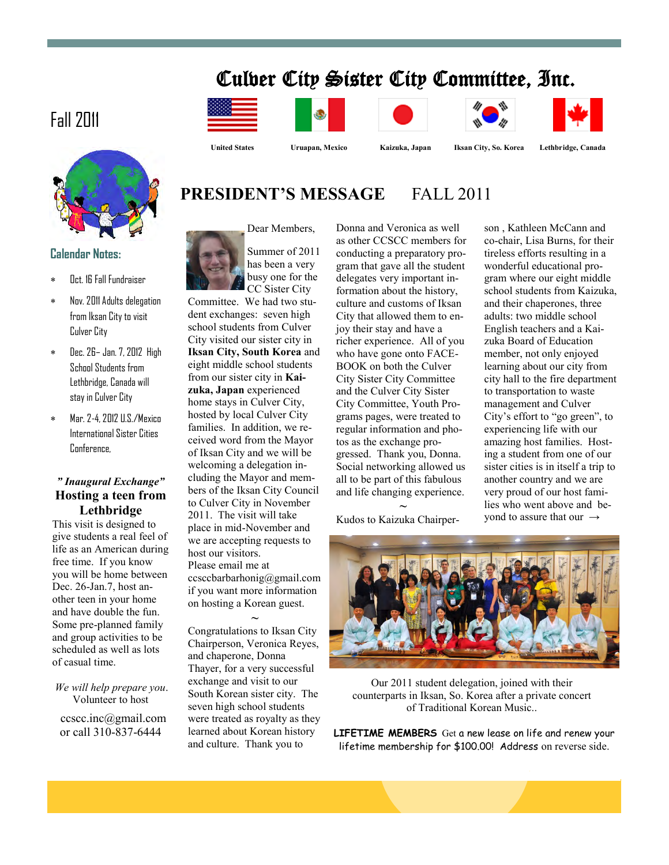# Culver City Sister City Committee, Inc.

 **United States Uruapan, Mexico Kaizuka, Japan Iksan City, So. Korea Lethbridge, Canada**

# Fall 2011



### **Calendar Notes:**

- Oct. 16 Fall Fundraiser
- Nov. 2011 Adults delegation from Iksan City to visit Culver City
- Dec. 26– Jan. 7, 2012 High School Students from Lethbridge, Canada will stay in Culver City
- Mar. 2-4, 2012 U.S./Mexico International Sister Cities Conference,

### *" Inaugural Exchange"* **Hosting a teen from Lethbridge**

This visit is designed to give students a real feel of life as an American during free time. If you know you will be home between Dec. 26-Jan.7, host another teen in your home and have double the fun. Some pre-planned family and group activities to be scheduled as well as lots of casual time.

*We will help prepare you*. Volunteer to host

ccscc.inc@gmail.com



Summer of 2011 has been a very busy one for the CC Sister City

Committee. We had two student exchanges: seven high school students from Culver City visited our sister city in **Iksan City, South Korea** and eight middle school students from our sister city in **Kaizuka, Japan** experienced home stays in Culver City, hosted by local Culver City families. In addition, we received word from the Mayor of Iksan City and we will be welcoming a delegation including the Mayor and members of the Iksan City Council to Culver City in November 2011. The visit will take place in mid-November and we are accepting requests to host our visitors. Please email me at ccsccbarbarhonig@gmail.com if you want more information on hosting a Korean guest.

**~** Congratulations to Iksan City Chairperson, Veronica Reyes, and chaperone, Donna Thayer, for a very successful exchange and visit to our South Korean sister city. The seven high school students were treated as royalty as they learned about Korean history and culture. Thank you to

Donna and Veronica as well as other CCSCC members for conducting a preparatory program that gave all the student delegates very important information about the history, culture and customs of Iksan City that allowed them to enjoy their stay and have a richer experience. All of you who have gone onto FACE-BOOK on both the Culver City Sister City Committee and the Culver City Sister City Committee, Youth Programs pages, were treated to regular information and photos as the exchange progressed. Thank you, Donna. Social networking allowed us all to be part of this fabulous and life changing experience.

**~** Kudos to Kaizuka Chairperson , Kathleen McCann and co-chair, Lisa Burns, for their tireless efforts resulting in a wonderful educational program where our eight middle school students from Kaizuka, and their chaperones, three adults: two middle school English teachers and a Kaizuka Board of Education member, not only enjoyed learning about our city from city hall to the fire department to transportation to waste management and Culver City's effort to "go green", to experiencing life with our amazing host families. Hosting a student from one of our sister cities is in itself a trip to another country and we are very proud of our host families who went above and beyond to assure that our  $\rightarrow$ 



Our 2011 student delegation, joined with their counterparts in Iksan, So. Korea after a private concert of Traditional Korean Music..

or call 310-837-6444 **LIFETIME MEMBERS** Get a new lease on life and renew your lifetime membership for \$100.00! Address on reverse side.

**PRESIDENT'S MESSAGE FALL 2011**